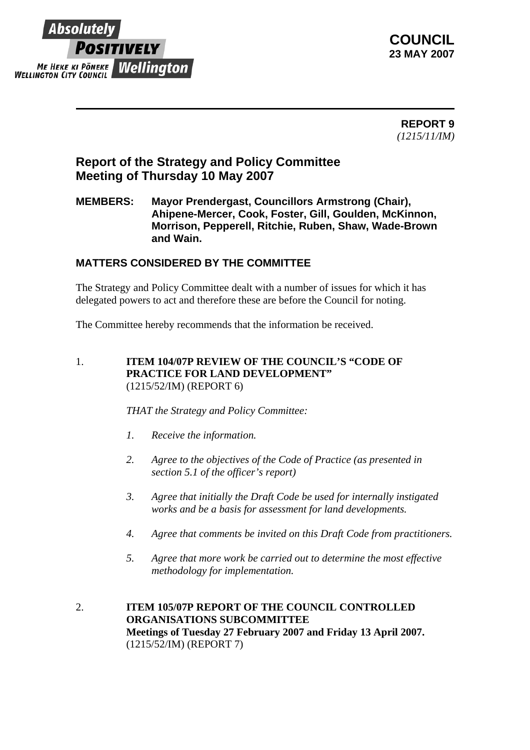

**COUNCIL 23 MAY 2007** 

> **REPORT 9** *(1215/11/IM)*

# **Report of the Strategy and Policy Committee Meeting of Thursday 10 May 2007**

### **MEMBERS: Mayor Prendergast, Councillors Armstrong (Chair), Ahipene-Mercer, Cook, Foster, Gill, Goulden, McKinnon, Morrison, Pepperell, Ritchie, Ruben, Shaw, Wade-Brown and Wain.**

## **MATTERS CONSIDERED BY THE COMMITTEE**

The Strategy and Policy Committee dealt with a number of issues for which it has delegated powers to act and therefore these are before the Council for noting.

The Committee hereby recommends that the information be received.

1. **ITEM 104/07P REVIEW OF THE COUNCIL'S "CODE OF PRACTICE FOR LAND DEVELOPMENT"** (1215/52/IM) (REPORT 6)

*THAT the Strategy and Policy Committee:*

- *1. Receive the information.*
- *2. Agree to the objectives of the Code of Practice (as presented in section 5.1 of the officer's report)*
- *3. Agree that initially the Draft Code be used for internally instigated works and be a basis for assessment for land developments.*
- *4. Agree that comments be invited on this Draft Code from practitioners.*
- *5. Agree that more work be carried out to determine the most effective methodology for implementation.*
- 2. **ITEM 105/07P REPORT OF THE COUNCIL CONTROLLED ORGANISATIONS SUBCOMMITTEE Meetings of Tuesday 27 February 2007 and Friday 13 April 2007.**  (1215/52/IM) (REPORT 7)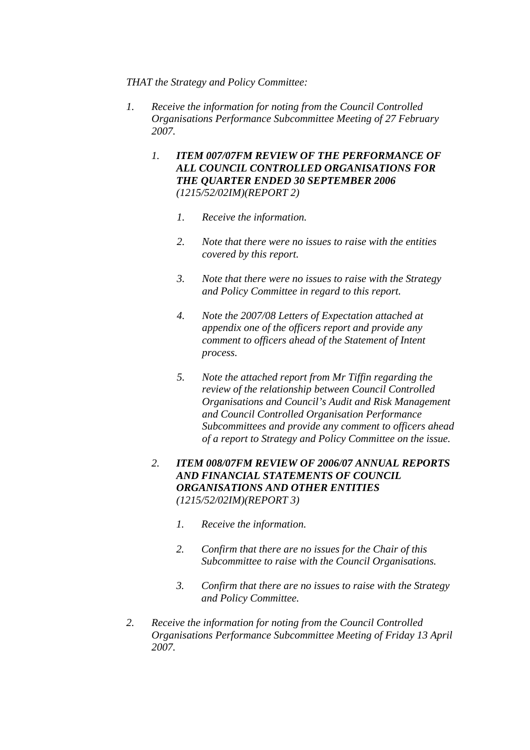#### *THAT the Strategy and Policy Committee:*

- *1. Receive the information for noting from the Council Controlled Organisations Performance Subcommittee Meeting of 27 February 2007.* 
	- *1. ITEM 007/07FM REVIEW OF THE PERFORMANCE OF ALL COUNCIL CONTROLLED ORGANISATIONS FOR THE QUARTER ENDED 30 SEPTEMBER 2006 (1215/52/02IM)(REPORT 2)* 
		- *1. Receive the information.*
		- *2. Note that there were no issues to raise with the entities covered by this report.*
		- *3. Note that there were no issues to raise with the Strategy and Policy Committee in regard to this report.*
		- *4. Note the 2007/08 Letters of Expectation attached at appendix one of the officers report and provide any comment to officers ahead of the Statement of Intent process.*
		- *5. Note the attached report from Mr Tiffin regarding the review of the relationship between Council Controlled Organisations and Council's Audit and Risk Management and Council Controlled Organisation Performance Subcommittees and provide any comment to officers ahead of a report to Strategy and Policy Committee on the issue.*
	- *2. ITEM 008/07FM REVIEW OF 2006/07 ANNUAL REPORTS AND FINANCIAL STATEMENTS OF COUNCIL ORGANISATIONS AND OTHER ENTITIES (1215/52/02IM)(REPORT 3)* 
		- *1. Receive the information.*
		- *2. Confirm that there are no issues for the Chair of this Subcommittee to raise with the Council Organisations.*
		- *3. Confirm that there are no issues to raise with the Strategy and Policy Committee.*
- *2. Receive the information for noting from the Council Controlled Organisations Performance Subcommittee Meeting of Friday 13 April 2007.*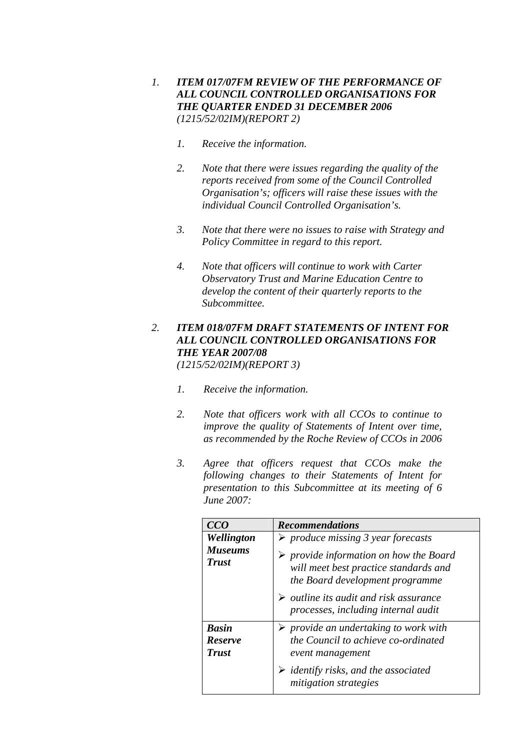- *1. ITEM 017/07FM REVIEW OF THE PERFORMANCE OF ALL COUNCIL CONTROLLED ORGANISATIONS FOR THE QUARTER ENDED 31 DECEMBER 2006 (1215/52/02IM)(REPORT 2)* 
	- *1. Receive the information.*
	- *2. Note that there were issues regarding the quality of the reports received from some of the Council Controlled Organisation's; officers will raise these issues with the individual Council Controlled Organisation's.*
	- *3. Note that there were no issues to raise with Strategy and Policy Committee in regard to this report.*
	- *4. Note that officers will continue to work with Carter Observatory Trust and Marine Education Centre to develop the content of their quarterly reports to the Subcommittee.*

# *2. ITEM 018/07FM DRAFT STATEMENTS OF INTENT FOR ALL COUNCIL CONTROLLED ORGANISATIONS FOR THE YEAR 2007/08*

*(1215/52/02IM)(REPORT 3)* 

- *1. Receive the information.*
- *2. Note that officers work with all CCOs to continue to improve the quality of Statements of Intent over time, as recommended by the Roche Review of CCOs in 2006*
- *3. Agree that officers request that CCOs make the following changes to their Statements of Intent for presentation to this Subcommittee at its meeting of 6 June 2007:*

| CCO                                            | <b>Recommendations</b>                                                                                                            |
|------------------------------------------------|-----------------------------------------------------------------------------------------------------------------------------------|
| Wellington                                     | $\triangleright$ produce missing 3 year forecasts                                                                                 |
| <b>Museums</b><br><b>Trust</b>                 | $\triangleright$ provide information on how the Board<br>will meet best practice standards and<br>the Board development programme |
|                                                | $\triangleright$ outline its audit and risk assurance<br>processes, including internal audit                                      |
| <b>Basin</b><br><b>Reserve</b><br><b>Trust</b> | $\triangleright$ provide an undertaking to work with<br>the Council to achieve co-ordinated<br>event management                   |
|                                                | $\triangleright$ identify risks, and the associated<br>mitigation strategies                                                      |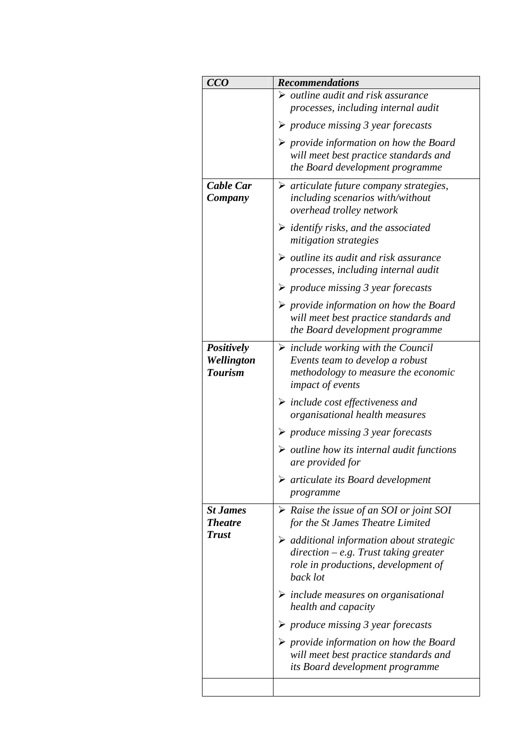| CCO                          | <b>Recommendations</b>                                                     |
|------------------------------|----------------------------------------------------------------------------|
|                              | $\triangleright$ outline audit and risk assurance                          |
|                              | processes, including internal audit                                        |
|                              | $\triangleright$ produce missing 3 year forecasts                          |
|                              | $\triangleright$ provide information on how the Board                      |
|                              | will meet best practice standards and                                      |
|                              | the Board development programme                                            |
| Cable Car                    | $\triangleright$ articulate future company strategies,                     |
| Company                      | including scenarios with/without                                           |
|                              | overhead trolley network                                                   |
|                              | <i>identify risks, and the associated</i><br>➤                             |
|                              | mitigation strategies                                                      |
|                              | $\triangleright$ outline its audit and risk assurance                      |
|                              | processes, including internal audit                                        |
|                              | $\triangleright$ produce missing 3 year forecasts                          |
|                              | $\triangleright$ provide information on how the Board                      |
|                              | will meet best practice standards and                                      |
|                              | the Board development programme                                            |
| Positively                   | $\triangleright$ include working with the Council                          |
| Wellington<br><b>Tourism</b> | Events team to develop a robust<br>methodology to measure the economic     |
|                              | <i>impact of events</i>                                                    |
|                              | $\triangleright$ include cost effectiveness and                            |
|                              | organisational health measures                                             |
|                              | $\triangleright$ produce missing 3 year forecasts                          |
|                              | $\triangleright$ outline how its internal audit functions                  |
|                              | are provided for                                                           |
|                              | $\triangleright$ articulate its Board development                          |
|                              | programme                                                                  |
| <b>St James</b>              | $\triangleright$ Raise the issue of an SOI or joint SOI                    |
| <b>Theatre</b>               | for the St James Theatre Limited                                           |
| <b>Trust</b>                 | $\triangleright$ additional information about strategic                    |
|                              | $direction - e.g.$ Trust taking greater                                    |
|                              | role in productions, development of<br>back lot                            |
|                              |                                                                            |
|                              | $\triangleright$ include measures on organisational<br>health and capacity |
|                              | $\triangleright$ produce missing 3 year forecasts                          |
|                              | $\triangleright$ provide information on how the Board                      |
|                              | will meet best practice standards and                                      |
|                              | its Board development programme                                            |
|                              |                                                                            |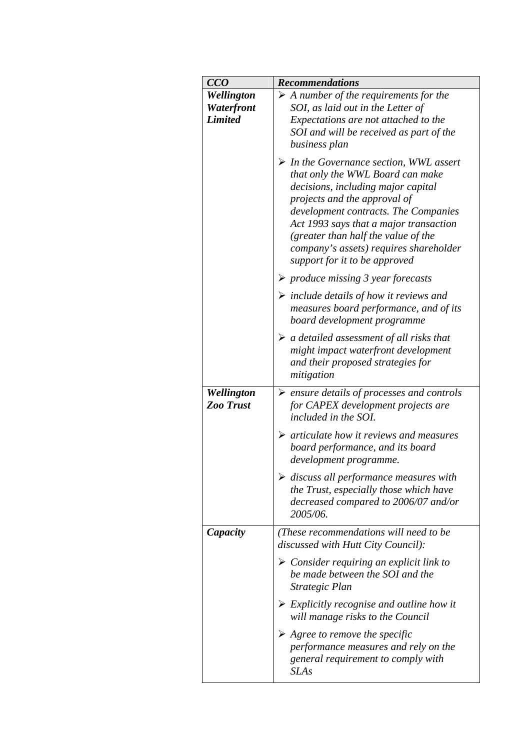| CCO                            | <b>Recommendations</b>                                                                                                                                                                                                                                                                                                                                               |
|--------------------------------|----------------------------------------------------------------------------------------------------------------------------------------------------------------------------------------------------------------------------------------------------------------------------------------------------------------------------------------------------------------------|
| Wellington                     | $\triangleright$ A number of the requirements for the                                                                                                                                                                                                                                                                                                                |
| Waterfront                     | SOI, as laid out in the Letter of                                                                                                                                                                                                                                                                                                                                    |
| <b>Limited</b>                 | Expectations are not attached to the                                                                                                                                                                                                                                                                                                                                 |
|                                | SOI and will be received as part of the                                                                                                                                                                                                                                                                                                                              |
|                                | business plan                                                                                                                                                                                                                                                                                                                                                        |
|                                | $\triangleright$ In the Governance section, WWL assert<br>that only the WWL Board can make<br>decisions, including major capital<br>projects and the approval of<br>development contracts. The Companies<br>Act 1993 says that a major transaction<br>(greater than half the value of the<br>company's assets) requires shareholder<br>support for it to be approved |
|                                | $\triangleright$ produce missing 3 year forecasts                                                                                                                                                                                                                                                                                                                    |
|                                | $\triangleright$ include details of how it reviews and<br>measures board performance, and of its<br>board development programme                                                                                                                                                                                                                                      |
|                                | $\triangleright$ a detailed assessment of all risks that<br>might impact waterfront development<br>and their proposed strategies for<br>mitigation                                                                                                                                                                                                                   |
| Wellington<br><b>Zoo Trust</b> | $\triangleright$ ensure details of processes and controls<br>for CAPEX development projects are<br>included in the SOI.                                                                                                                                                                                                                                              |
|                                | $\triangleright$ articulate how it reviews and measures<br>board performance, and its board<br>development programme.                                                                                                                                                                                                                                                |
|                                | $\triangleright$ discuss all performance measures with<br>the Trust, especially those which have<br>decreased compared to 2006/07 and/or<br>2005/06.                                                                                                                                                                                                                 |
| Capacity                       | (These recommendations will need to be<br>discussed with Hutt City Council):                                                                                                                                                                                                                                                                                         |
|                                | $\triangleright$ Consider requiring an explicit link to<br>be made between the SOI and the<br>Strategic Plan                                                                                                                                                                                                                                                         |
|                                | $\triangleright$ Explicitly recognise and outline how it<br>will manage risks to the Council                                                                                                                                                                                                                                                                         |
|                                | $\triangleright$ Agree to remove the specific<br>performance measures and rely on the<br>general requirement to comply with<br><b>SLAs</b>                                                                                                                                                                                                                           |